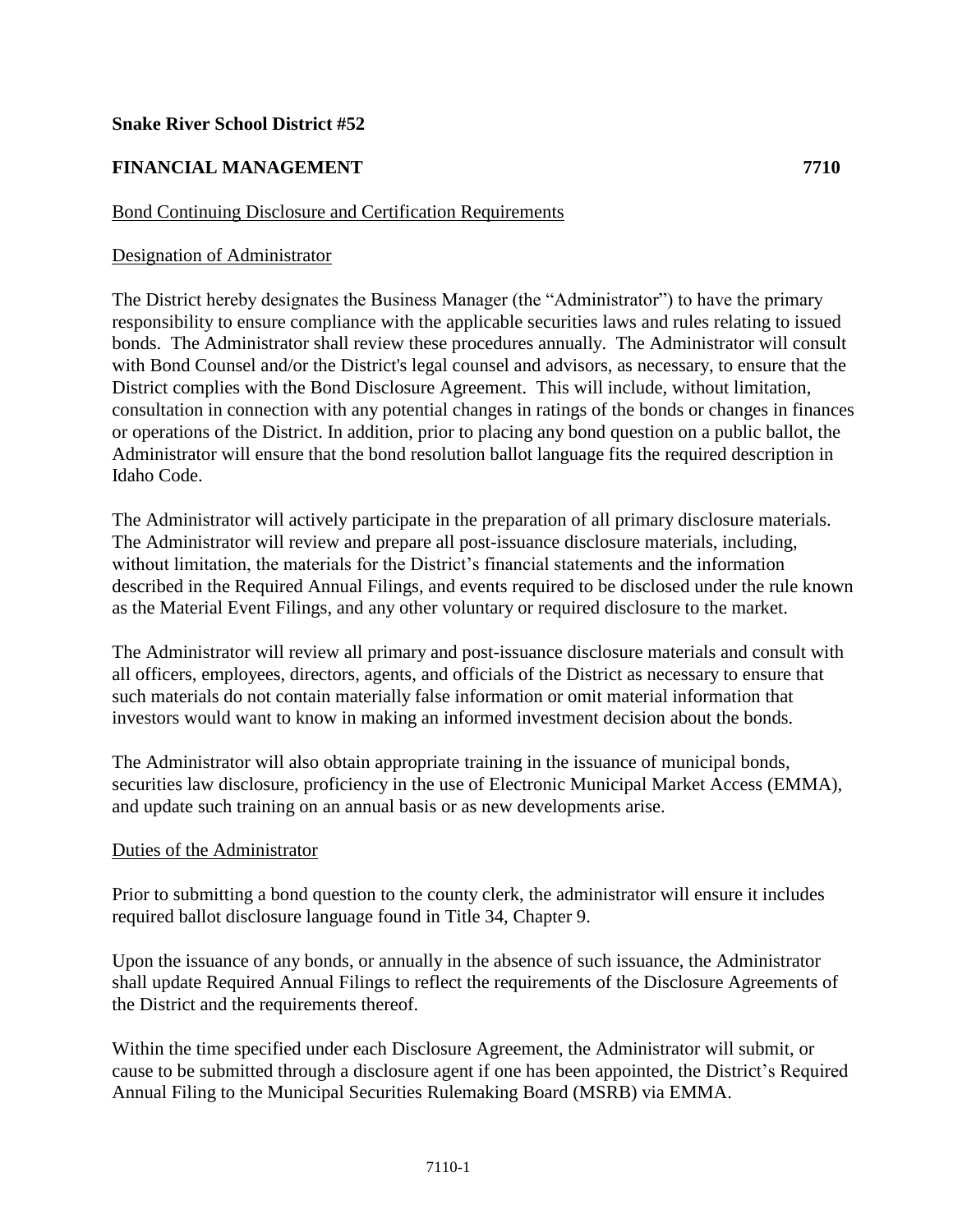## **Snake River School District #52**

# **FINANCIAL MANAGEMENT 7710**

## Bond Continuing Disclosure and Certification Requirements

#### Designation of Administrator

The District hereby designates the Business Manager (the "Administrator") to have the primary responsibility to ensure compliance with the applicable securities laws and rules relating to issued bonds. The Administrator shall review these procedures annually. The Administrator will consult with Bond Counsel and/or the District's legal counsel and advisors, as necessary, to ensure that the District complies with the Bond Disclosure Agreement. This will include, without limitation, consultation in connection with any potential changes in ratings of the bonds or changes in finances or operations of the District. In addition, prior to placing any bond question on a public ballot, the Administrator will ensure that the bond resolution ballot language fits the required description in Idaho Code.

The Administrator will actively participate in the preparation of all primary disclosure materials. The Administrator will review and prepare all post-issuance disclosure materials, including, without limitation, the materials for the District's financial statements and the information described in the Required Annual Filings, and events required to be disclosed under the rule known as the Material Event Filings, and any other voluntary or required disclosure to the market.

The Administrator will review all primary and post-issuance disclosure materials and consult with all officers, employees, directors, agents, and officials of the District as necessary to ensure that such materials do not contain materially false information or omit material information that investors would want to know in making an informed investment decision about the bonds.

The Administrator will also obtain appropriate training in the issuance of municipal bonds, securities law disclosure, proficiency in the use of Electronic Municipal Market Access (EMMA), and update such training on an annual basis or as new developments arise.

### Duties of the Administrator

Prior to submitting a bond question to the county clerk, the administrator will ensure it includes required ballot disclosure language found in Title 34, Chapter 9.

Upon the issuance of any bonds, or annually in the absence of such issuance, the Administrator shall update Required Annual Filings to reflect the requirements of the Disclosure Agreements of the District and the requirements thereof.

Within the time specified under each Disclosure Agreement, the Administrator will submit, or cause to be submitted through a disclosure agent if one has been appointed, the District's Required Annual Filing to the Municipal Securities Rulemaking Board (MSRB) via EMMA.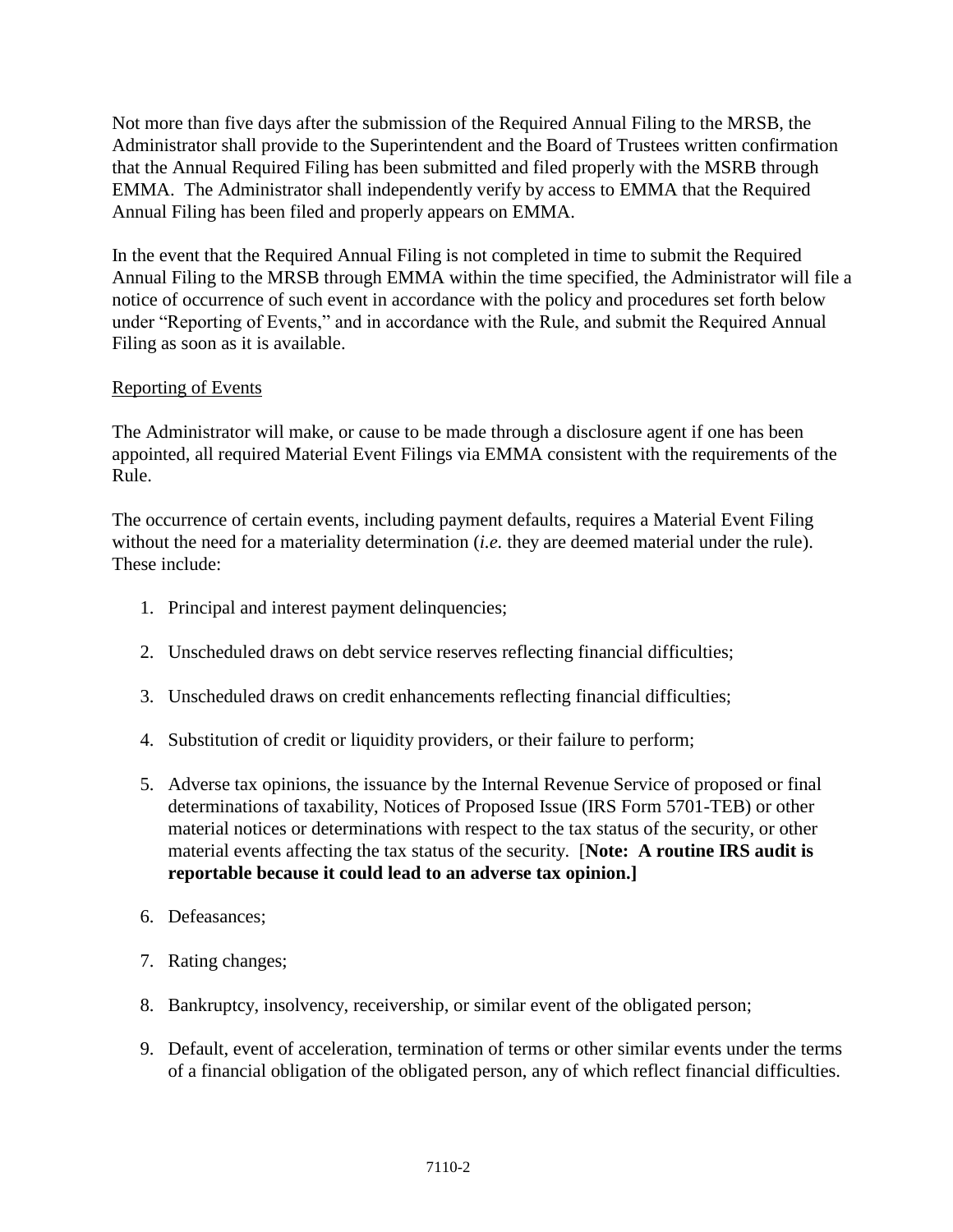Not more than five days after the submission of the Required Annual Filing to the MRSB, the Administrator shall provide to the Superintendent and the Board of Trustees written confirmation that the Annual Required Filing has been submitted and filed properly with the MSRB through EMMA. The Administrator shall independently verify by access to EMMA that the Required Annual Filing has been filed and properly appears on EMMA.

In the event that the Required Annual Filing is not completed in time to submit the Required Annual Filing to the MRSB through EMMA within the time specified, the Administrator will file a notice of occurrence of such event in accordance with the policy and procedures set forth below under "Reporting of Events," and in accordance with the Rule, and submit the Required Annual Filing as soon as it is available.

## Reporting of Events

The Administrator will make, or cause to be made through a disclosure agent if one has been appointed, all required Material Event Filings via EMMA consistent with the requirements of the Rule.

The occurrence of certain events, including payment defaults, requires a Material Event Filing without the need for a materiality determination (*i.e.* they are deemed material under the rule). These include:

- 1. Principal and interest payment delinquencies;
- 2. Unscheduled draws on debt service reserves reflecting financial difficulties;
- 3. Unscheduled draws on credit enhancements reflecting financial difficulties;
- 4. Substitution of credit or liquidity providers, or their failure to perform;
- 5. Adverse tax opinions, the issuance by the Internal Revenue Service of proposed or final determinations of taxability, Notices of Proposed Issue (IRS Form 5701-TEB) or other material notices or determinations with respect to the tax status of the security, or other material events affecting the tax status of the security. [**Note: A routine IRS audit is reportable because it could lead to an adverse tax opinion.]**
- 6. Defeasances;
- 7. Rating changes;
- 8. Bankruptcy, insolvency, receivership, or similar event of the obligated person;
- 9. Default, event of acceleration, termination of terms or other similar events under the terms of a financial obligation of the obligated person, any of which reflect financial difficulties.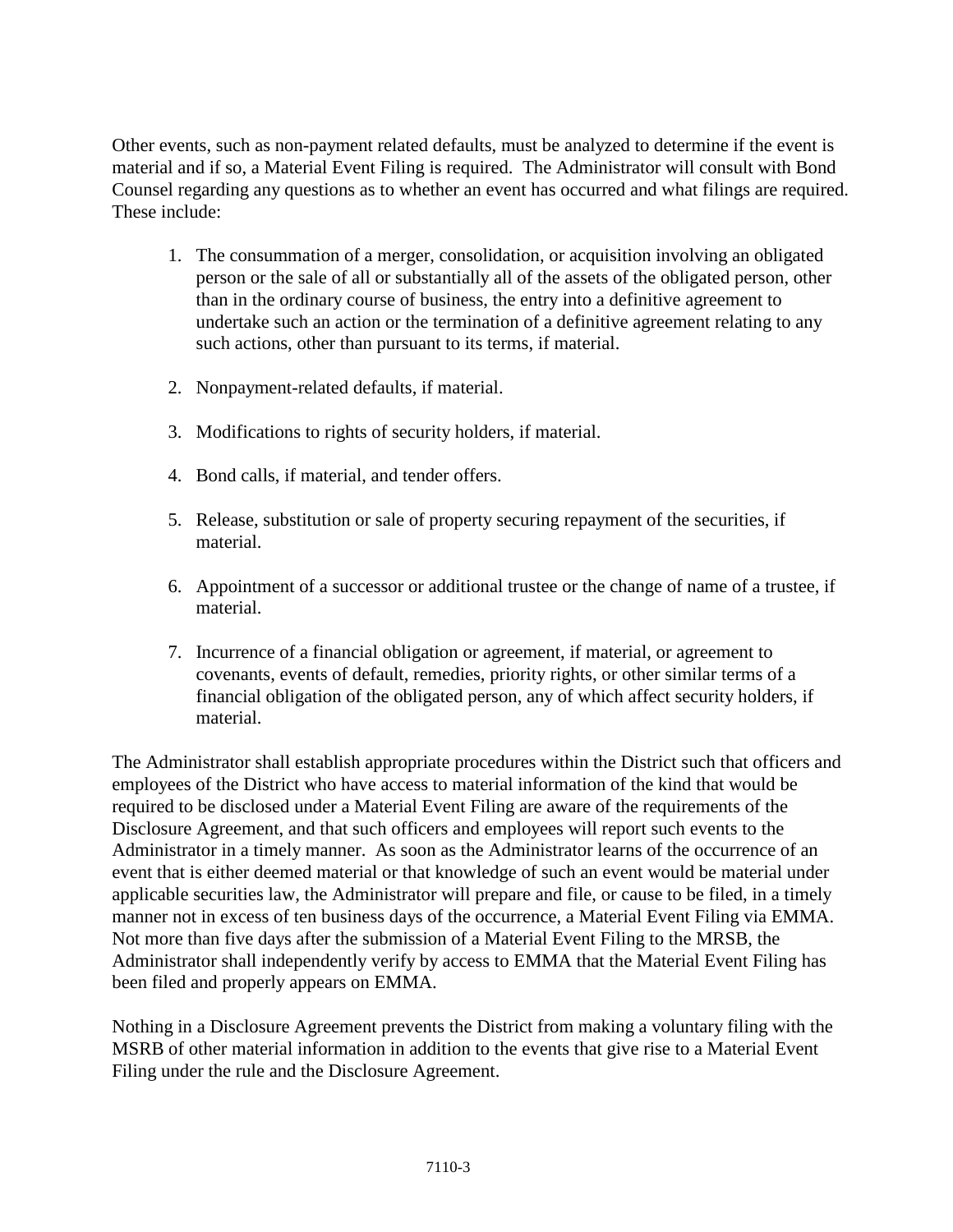Other events, such as non-payment related defaults, must be analyzed to determine if the event is material and if so, a Material Event Filing is required. The Administrator will consult with Bond Counsel regarding any questions as to whether an event has occurred and what filings are required. These include:

- 1. The consummation of a merger, consolidation, or acquisition involving an obligated person or the sale of all or substantially all of the assets of the obligated person, other than in the ordinary course of business, the entry into a definitive agreement to undertake such an action or the termination of a definitive agreement relating to any such actions, other than pursuant to its terms, if material.
- 2. Nonpayment-related defaults, if material.
- 3. Modifications to rights of security holders, if material.
- 4. Bond calls, if material, and tender offers.
- 5. Release, substitution or sale of property securing repayment of the securities, if material.
- 6. Appointment of a successor or additional trustee or the change of name of a trustee, if material.
- 7. Incurrence of a financial obligation or agreement, if material, or agreement to covenants, events of default, remedies, priority rights, or other similar terms of a financial obligation of the obligated person, any of which affect security holders, if material.

The Administrator shall establish appropriate procedures within the District such that officers and employees of the District who have access to material information of the kind that would be required to be disclosed under a Material Event Filing are aware of the requirements of the Disclosure Agreement, and that such officers and employees will report such events to the Administrator in a timely manner. As soon as the Administrator learns of the occurrence of an event that is either deemed material or that knowledge of such an event would be material under applicable securities law, the Administrator will prepare and file, or cause to be filed, in a timely manner not in excess of ten business days of the occurrence, a Material Event Filing via EMMA. Not more than five days after the submission of a Material Event Filing to the MRSB, the Administrator shall independently verify by access to EMMA that the Material Event Filing has been filed and properly appears on EMMA.

Nothing in a Disclosure Agreement prevents the District from making a voluntary filing with the MSRB of other material information in addition to the events that give rise to a Material Event Filing under the rule and the Disclosure Agreement.